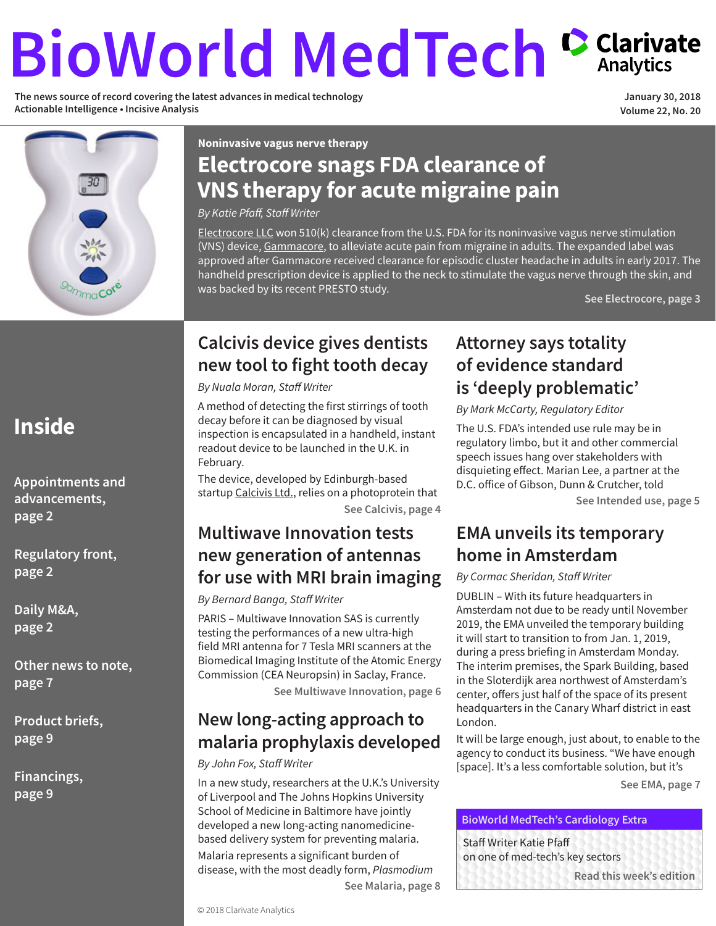# <span id="page-0-0"></span>**BioWorld MedTech Carivate**

**The news source of record covering the latest advances in medical technology Actionable Intelligence • Incisive Analysis** 

**January 30, 2018 Volume 22, No. 20**



**Noninvasive vagus nerve therapy**

### **Electrocore snags FDA clearance of VNS therapy for acute migraine pain**

*By Katie Pfaff, Staff Writer* 

[Electrocore LLC](https://www.cortellis.com/intelligence/qsearch/Electrocore LLC) won 510(k) clearance from the U.S. FDA for its noninvasive vagus nerve stimulation (VNS) device, [Gammacore,](https://www.cortellis.com/intelligence/qsearch/Gammacore) to alleviate acute pain from migraine in adults. The expanded label was approved after Gammacore received clearance for episodic cluster headache in adults in early 2017. The handheld prescription device is applied to the neck to stimulate the vagus nerve through the skin, and was backed by its recent PRESTO study.

**[See Electrocore, page 3](#page-2-0)**

### **Calcivis device gives dentists new tool to fight tooth decay**

*By Nuala Moran, Staff Writer*

A method of detecting the first stirrings of tooth decay before it can be diagnosed by visual inspection is encapsulated in a handheld, instant readout device to be launched in the U.K. in February.

The device, developed by Edinburgh-based startup [Calcivis Ltd.,](https://www.cortellis.com/intelligence/qsearch/Calcivis Ltd.) relies on a photoprotein that **[See Calcivis, page 4](#page-3-0)**

### **Multiwave Innovation tests new generation of antennas for use with MRI brain imaging**

### *By Bernard Banga, Staff Writer*

PARIS – Multiwave Innovation SAS is currently testing the performances of a new ultra-high field MRI antenna for 7 Tesla MRI scanners at the Biomedical Imaging Institute of the Atomic Energy Commission (CEA Neuropsin) in Saclay, France.

**[See Multiwave Innovation, page 6](#page-5-0)**

### **New long-acting approach to malaria prophylaxis developed**

### *By John Fox, Staff Writer*

In a new study, researchers at the U.K.'s University of Liverpool and The Johns Hopkins University School of Medicine in Baltimore have jointly developed a new long-acting nanomedicinebased delivery system for preventing malaria. Malaria represents a significant burden of disease, with the most deadly form, *Plasmodium*  **[See Malaria, page 8](#page-7-0)**

### **Attorney says totality of evidence standard is 'deeply problematic'**

*By Mark McCarty, Regulatory Editor*

The U.S. FDA's intended use rule may be in regulatory limbo, but it and other commercial speech issues hang over stakeholders with disquieting effect. Marian Lee, a partner at the D.C. office of Gibson, Dunn & Crutcher, told

**[See Intended use, page 5](#page-4-0)**

### **EMA unveils its temporary home in Amsterdam**

*By Cormac Sheridan, Staff Writer*

DUBLIN – With its future headquarters in Amsterdam not due to be ready until November 2019, the EMA unveiled the temporary building it will start to transition to from Jan. 1, 2019, during a press briefing in Amsterdam Monday. The interim premises, the Spark Building, based in the Sloterdijk area northwest of Amsterdam's center, offers just half of the space of its present headquarters in the Canary Wharf district in east London.

It will be large enough, just about, to enable to the agency to conduct its business. "We have enough [space]. It's a less comfortable solution, but it's

**[See EMA, page 7](#page-6-0)**

### **BioWorld MedTech's Cardiology Extra**

Staff Writer Katie Pfaff on one of med-tech's key sectors

**[Read this week's edition](#page-9-0)**

### **Inside**

**[Appointments and](#page-1-0) [advancements,](#page-1-0)  [page 2](#page-1-0)**

**[Regulatory front,](#page-1-0) [page 2](#page-1-0)**

**[Daily M&A,](#page-1-0)  [page 2](#page-1-0)**

**[Other news to note,](#page-6-0) [page 7](#page-6-0)**

**[Product briefs,](#page-8-0) [page 9](#page-8-0)**

**[Financings,](#page-8-0) [page 9](#page-8-0)**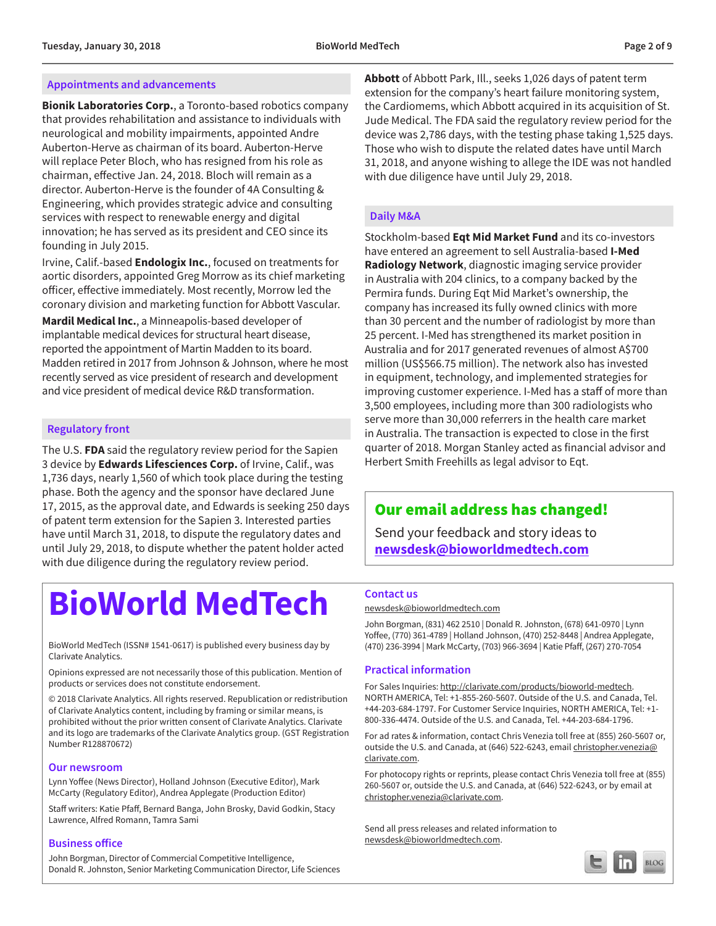#### <span id="page-1-0"></span>**Appointments and advancements**

**Bionik Laboratories Corp.**, a Toronto-based robotics company that provides rehabilitation and assistance to individuals with neurological and mobility impairments, appointed Andre Auberton-Herve as chairman of its board. Auberton-Herve will replace Peter Bloch, who has resigned from his role as chairman, effective Jan. 24, 2018. Bloch will remain as a director. Auberton-Herve is the founder of 4A Consulting & Engineering, which provides strategic advice and consulting services with respect to renewable energy and digital innovation; he has served as its president and CEO since its founding in July 2015.

Irvine, Calif.-based **Endologix Inc.**, focused on treatments for aortic disorders, appointed Greg Morrow as its chief marketing officer, effective immediately. Most recently, Morrow led the coronary division and marketing function for Abbott Vascular.

**Mardil Medical Inc.**, a Minneapolis-based developer of implantable medical devices for structural heart disease, reported the appointment of Martin Madden to its board. Madden retired in 2017 from Johnson & Johnson, where he most recently served as vice president of research and development and vice president of medical device R&D transformation.

#### **Regulatory front**

The U.S. **FDA** said the regulatory review period for the Sapien 3 device by **Edwards Lifesciences Corp.** of Irvine, Calif., was 1,736 days, nearly 1,560 of which took place during the testing phase. Both the agency and the sponsor have declared June 17, 2015, as the approval date, and Edwards is seeking 250 days of patent term extension for the Sapien 3. Interested parties have until March 31, 2018, to dispute the regulatory dates and until July 29, 2018, to dispute whether the patent holder acted with due diligence during the regulatory review period.

### **BioWorld MedTech**

BioWorld MedTech (ISSN# 1541-0617) is published every business day by Clarivate Analytics.

Opinions expressed are not necessarily those of this publication. Mention of products or services does not constitute endorsement.

© 2018 Clarivate Analytics. All rights reserved. Republication or redistribution of Clarivate Analytics content, including by framing or similar means, is prohibited without the prior written consent of Clarivate Analytics. Clarivate and its logo are trademarks of the Clarivate Analytics group. (GST Registration Number R128870672)

#### **Our newsroom**

Lynn Yoffee (News Director), Holland Johnson (Executive Editor), Mark McCarty (Regulatory Editor), Andrea Applegate (Production Editor)

Staff writers: Katie Pfaff, Bernard Banga, John Brosky, David Godkin, Stacy Lawrence, Alfred Romann, Tamra Sami

### **Business office**

John Borgman, Director of Commercial Competitive Intelligence, Donald R. Johnston, Senior Marketing Communication Director, Life Sciences **Abbott** of Abbott Park, Ill., seeks 1,026 days of patent term extension for the company's heart failure monitoring system, the Cardiomems, which Abbott acquired in its acquisition of St. Jude Medical. The FDA said the regulatory review period for the device was 2,786 days, with the testing phase taking 1,525 days. Those who wish to dispute the related dates have until March 31, 2018, and anyone wishing to allege the IDE was not handled with due diligence have until July 29, 2018.

#### **Daily M&A**

Stockholm-based **Eqt Mid Market Fund** and its co-investors have entered an agreement to sell Australia-based **I-Med Radiology Network**, diagnostic imaging service provider in Australia with 204 clinics, to a company backed by the Permira funds. During Eqt Mid Market's ownership, the company has increased its fully owned clinics with more than 30 percent and the number of radiologist by more than 25 percent. I-Med has strengthened its market position in Australia and for 2017 generated revenues of almost A\$700 million (US\$566.75 million). The network also has invested in equipment, technology, and implemented strategies for improving customer experience. I-Med has a staff of more than 3,500 employees, including more than 300 radiologists who serve more than 30,000 referrers in the health care market in Australia. The transaction is expected to close in the first quarter of 2018. Morgan Stanley acted as financial advisor and Herbert Smith Freehills as legal advisor to Eqt.

### Our email address has changed!

Send your feedback and story ideas to **newsdesk@bioworldmedtech.com**

#### **Contact us**

[newsdesk@bioworldmedtech.com](mailto:newsdesk%40bioworldmedtech.com%0D?subject=)

John Borgman, (831) 462 2510 | Donald R. Johnston, (678) 641-0970 | Lynn Yoffee, (770) 361-4789 | Holland Johnson, (470) 252-8448 | Andrea Applegate, (470) 236-3994 | Mark McCarty, (703) 966-3694 | Katie Pfaff, (267) 270-7054

#### **Practical information**

For Sales Inquiries: <http://clarivate.com/products/bioworld-medtech>. NORTH AMERICA, Tel: +1-855-260-5607. Outside of the U.S. and Canada, Tel. +44-203-684-1797. For Customer Service Inquiries, NORTH AMERICA, Tel: +1- 800-336-4474. Outside of the U.S. and Canada, Tel. +44-203-684-1796.

For ad rates & information, contact Chris Venezia toll free at (855) 260-5607 or, outside the U.S. and Canada, at (646) 522-6243, email [christopher.venezia@](mailto:christopher.venezia%40clarivate.com?subject=) [clarivate.com.](mailto:christopher.venezia%40clarivate.com?subject=)

For photocopy rights or reprints, please contact Chris Venezia toll free at (855) 260-5607 or, outside the U.S. and Canada, at (646) 522-6243, or by email at [christopher.venezia@clarivate.com.](mailto:christopher.venezia%40clarivate.com?subject=)

Send all press releases and related information to [newsdesk@bioworldmedtech.com.](mailto:newsdesk%40bioworldmedtech.com?subject=)

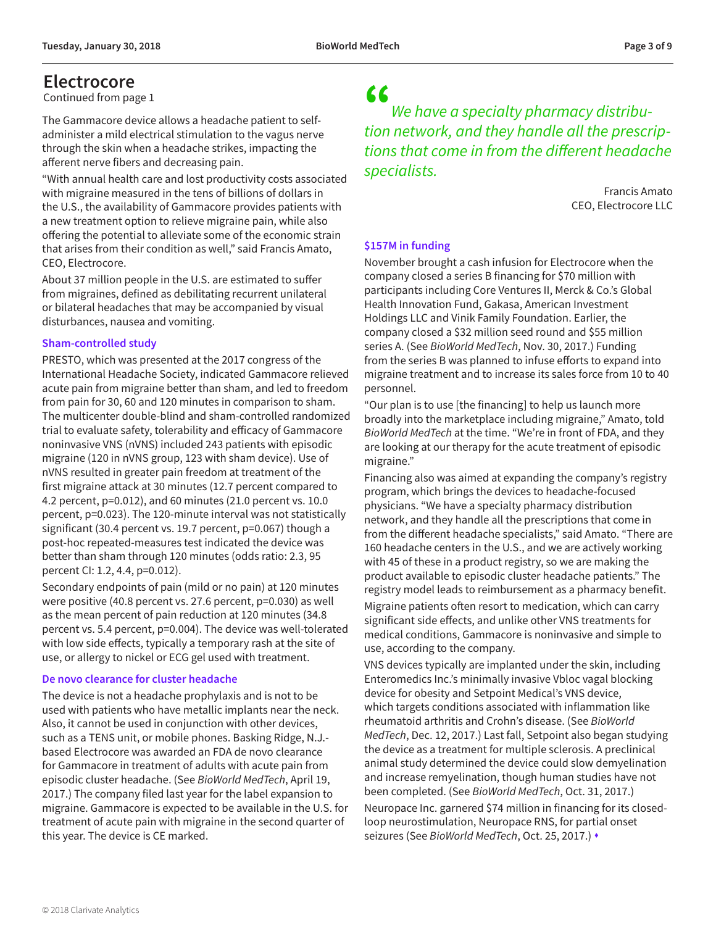### <span id="page-2-0"></span>**Electrocore**

[Continued from page 1](#page-0-0)

The Gammacore device allows a headache patient to selfadminister a mild electrical stimulation to the vagus nerve through the skin when a headache strikes, impacting the afferent nerve fibers and decreasing pain.

"With annual health care and lost productivity costs associated with migraine measured in the tens of billions of dollars in the U.S., the availability of Gammacore provides patients with a new treatment option to relieve migraine pain, while also offering the potential to alleviate some of the economic strain that arises from their condition as well," said Francis Amato, CEO, Electrocore.

About 37 million people in the U.S. are estimated to suffer from migraines, defined as debilitating recurrent unilateral or bilateral headaches that may be accompanied by visual disturbances, nausea and vomiting.

#### **Sham-controlled study**

PRESTO, which was presented at the 2017 congress of the International Headache Society, indicated Gammacore relieved acute pain from migraine better than sham, and led to freedom from pain for 30, 60 and 120 minutes in comparison to sham. The multicenter double-blind and sham-controlled randomized trial to evaluate safety, tolerability and efficacy of Gammacore noninvasive VNS (nVNS) included 243 patients with episodic migraine (120 in nVNS group, 123 with sham device). Use of nVNS resulted in greater pain freedom at treatment of the first migraine attack at 30 minutes (12.7 percent compared to 4.2 percent, p=0.012), and 60 minutes (21.0 percent vs. 10.0 percent, p=0.023). The 120-minute interval was not statistically significant (30.4 percent vs. 19.7 percent, p=0.067) though a post-hoc repeated-measures test indicated the device was better than sham through 120 minutes (odds ratio: 2.3, 95 percent CI: 1.2, 4.4, p=0.012).

Secondary endpoints of pain (mild or no pain) at 120 minutes were positive (40.8 percent vs. 27.6 percent, p=0.030) as well as the mean percent of pain reduction at 120 minutes (34.8 percent vs. 5.4 percent, p=0.004). The device was well-tolerated with low side effects, typically a temporary rash at the site of use, or allergy to nickel or ECG gel used with treatment.

### **De novo clearance for cluster headache**

The device is not a headache prophylaxis and is not to be used with patients who have metallic implants near the neck. Also, it cannot be used in conjunction with other devices, such as a TENS unit, or mobile phones. Basking Ridge, N.J. based Electrocore was awarded an FDA de novo clearance for Gammacore in treatment of adults with acute pain from episodic cluster headache. (See *BioWorld MedTech*, April 19, 2017.) The company filed last year for the label expansion to migraine. Gammacore is expected to be available in the U.S. for treatment of acute pain with migraine in the second quarter of this year. The device is CE marked.

### "

*We have a specialty pharmacy distribution network, and they handle all the prescriptions that come in from the different headache specialists.*

> Francis Amato CEO, Electrocore LLC

### **\$157M in funding**

November brought a cash infusion for Electrocore when the company closed a series B financing for \$70 million with participants including Core Ventures II, Merck & Co.'s Global Health Innovation Fund, Gakasa, American Investment Holdings LLC and Vinik Family Foundation. Earlier, the company closed a \$32 million seed round and \$55 million series A. (See *BioWorld MedTech*, Nov. 30, 2017.) Funding from the series B was planned to infuse efforts to expand into migraine treatment and to increase its sales force from 10 to 40 personnel.

"Our plan is to use [the financing] to help us launch more broadly into the marketplace including migraine," Amato, told *BioWorld MedTech* at the time. "We're in front of FDA, and they are looking at our therapy for the acute treatment of episodic migraine."

Financing also was aimed at expanding the company's registry program, which brings the devices to headache-focused physicians. "We have a specialty pharmacy distribution network, and they handle all the prescriptions that come in from the different headache specialists," said Amato. "There are 160 headache centers in the U.S., and we are actively working with 45 of these in a product registry, so we are making the product available to episodic cluster headache patients." The registry model leads to reimbursement as a pharmacy benefit.

Migraine patients often resort to medication, which can carry significant side effects, and unlike other VNS treatments for medical conditions, Gammacore is noninvasive and simple to use, according to the company.

VNS devices typically are implanted under the skin, including Enteromedics Inc.'s minimally invasive Vbloc vagal blocking device for obesity and Setpoint Medical's VNS device, which targets conditions associated with inflammation like rheumatoid arthritis and Crohn's disease. (See *BioWorld MedTech*, Dec. 12, 2017.) Last fall, Setpoint also began studying the device as a treatment for multiple sclerosis. A preclinical animal study determined the device could slow demyelination and increase remyelination, though human studies have not been completed. (See *BioWorld MedTech*, Oct. 31, 2017.)

Neuropace Inc. garnered \$74 million in financing for its closedloop neurostimulation, Neuropace RNS, for partial onset seizures (See *BioWorld MedTech*, Oct. 25, 2017.) •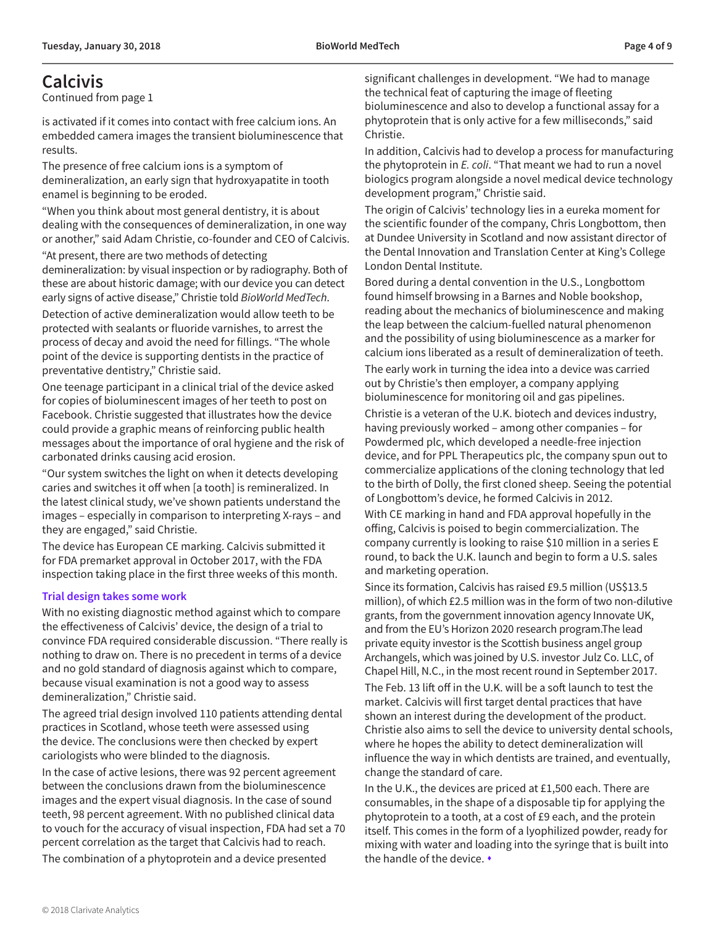### <span id="page-3-0"></span>**Calcivis**

[Continued from page 1](#page-0-0)

is activated if it comes into contact with free calcium ions. An embedded camera images the transient bioluminescence that results.

The presence of free calcium ions is a symptom of demineralization, an early sign that hydroxyapatite in tooth enamel is beginning to be eroded.

"When you think about most general dentistry, it is about dealing with the consequences of demineralization, in one way or another," said Adam Christie, co-founder and CEO of Calcivis.

"At present, there are two methods of detecting

demineralization: by visual inspection or by radiography. Both of these are about historic damage; with our device you can detect early signs of active disease," Christie told *BioWorld MedTech*.

Detection of active demineralization would allow teeth to be protected with sealants or fluoride varnishes, to arrest the process of decay and avoid the need for fillings. "The whole point of the device is supporting dentists in the practice of preventative dentistry," Christie said.

One teenage participant in a clinical trial of the device asked for copies of bioluminescent images of her teeth to post on Facebook. Christie suggested that illustrates how the device could provide a graphic means of reinforcing public health messages about the importance of oral hygiene and the risk of carbonated drinks causing acid erosion.

"Our system switches the light on when it detects developing caries and switches it off when [a tooth] is remineralized. In the latest clinical study, we've shown patients understand the images – especially in comparison to interpreting X-rays – and they are engaged," said Christie.

The device has European CE marking. Calcivis submitted it for FDA premarket approval in October 2017, with the FDA inspection taking place in the first three weeks of this month.

#### **Trial design takes some work**

With no existing diagnostic method against which to compare the effectiveness of Calcivis' device, the design of a trial to convince FDA required considerable discussion. "There really is nothing to draw on. There is no precedent in terms of a device and no gold standard of diagnosis against which to compare, because visual examination is not a good way to assess demineralization," Christie said.

The agreed trial design involved 110 patients attending dental practices in Scotland, whose teeth were assessed using the device. The conclusions were then checked by expert cariologists who were blinded to the diagnosis.

In the case of active lesions, there was 92 percent agreement between the conclusions drawn from the bioluminescence images and the expert visual diagnosis. In the case of sound teeth, 98 percent agreement. With no published clinical data to vouch for the accuracy of visual inspection, FDA had set a 70 percent correlation as the target that Calcivis had to reach. The combination of a phytoprotein and a device presented

significant challenges in development. "We had to manage the technical feat of capturing the image of fleeting bioluminescence and also to develop a functional assay for a phytoprotein that is only active for a few milliseconds," said Christie.

In addition, Calcivis had to develop a process for manufacturing the phytoprotein in *E. coli*. "That meant we had to run a novel biologics program alongside a novel medical device technology development program," Christie said.

The origin of Calcivis' technology lies in a eureka moment for the scientific founder of the company, Chris Longbottom, then at Dundee University in Scotland and now assistant director of the Dental Innovation and Translation Center at King's College London Dental Institute.

Bored during a dental convention in the U.S., Longbottom found himself browsing in a Barnes and Noble bookshop, reading about the mechanics of bioluminescence and making the leap between the calcium-fuelled natural phenomenon and the possibility of using bioluminescence as a marker for calcium ions liberated as a result of demineralization of teeth.

The early work in turning the idea into a device was carried out by Christie's then employer, a company applying bioluminescence for monitoring oil and gas pipelines.

Christie is a veteran of the U.K. biotech and devices industry, having previously worked – among other companies – for Powdermed plc, which developed a needle-free injection device, and for PPL Therapeutics plc, the company spun out to commercialize applications of the cloning technology that led to the birth of Dolly, the first cloned sheep. Seeing the potential of Longbottom's device, he formed Calcivis in 2012.

With CE marking in hand and FDA approval hopefully in the offing, Calcivis is poised to begin commercialization. The company currently is looking to raise \$10 million in a series E round, to back the U.K. launch and begin to form a U.S. sales and marketing operation.

Since its formation, Calcivis has raised £9.5 million (US\$13.5 million), of which £2.5 million was in the form of two non-dilutive grants, from the government innovation agency Innovate UK, and from the EU's Horizon 2020 research program.The lead private equity investor is the Scottish business angel group Archangels, which was joined by U.S. investor Julz Co. LLC, of Chapel Hill, N.C., in the most recent round in September 2017.

The Feb. 13 lift off in the U.K. will be a soft launch to test the market. Calcivis will first target dental practices that have shown an interest during the development of the product. Christie also aims to sell the device to university dental schools, where he hopes the ability to detect demineralization will influence the way in which dentists are trained, and eventually, change the standard of care.

In the U.K., the devices are priced at £1,500 each. There are consumables, in the shape of a disposable tip for applying the phytoprotein to a tooth, at a cost of £9 each, and the protein itself. This comes in the form of a lyophilized powder, ready for mixing with water and loading into the syringe that is built into the handle of the device.  $\bullet$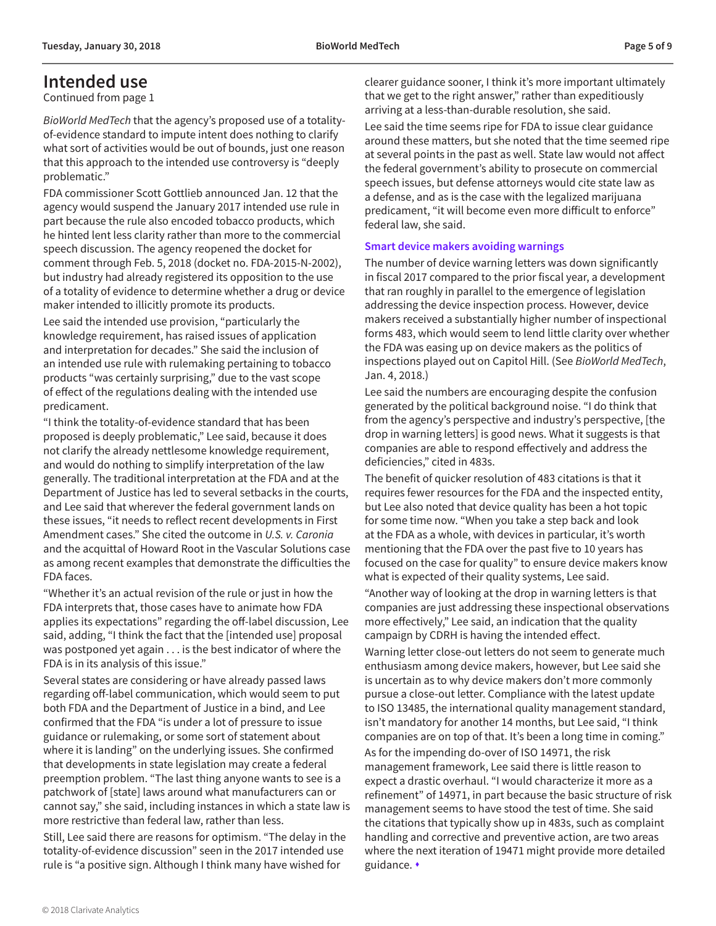### <span id="page-4-0"></span>**Intended use**

[Continued from page 1](#page-0-0)

*BioWorld MedTech* that the agency's proposed use of a totalityof-evidence standard to impute intent does nothing to clarify what sort of activities would be out of bounds, just one reason that this approach to the intended use controversy is "deeply problematic."

FDA commissioner Scott Gottlieb announced Jan. 12 that the agency would suspend the January 2017 intended use rule in part because the rule also encoded tobacco products, which he hinted lent less clarity rather than more to the commercial speech discussion. The agency reopened the docket for comment through Feb. 5, 2018 (docket no. FDA-2015-N-2002), but industry had already registered its opposition to the use of a totality of evidence to determine whether a drug or device maker intended to illicitly promote its products. Lee said the intended use provision, "particularly the knowledge requirement, has raised issues of application and interpretation for decades." She said the inclusion of an intended use rule with rulemaking pertaining to tobacco products "was certainly surprising," due to the vast scope of effect of the regulations dealing with the intended use predicament.

"I think the totality-of-evidence standard that has been proposed is deeply problematic," Lee said, because it does not clarify the already nettlesome knowledge requirement, and would do nothing to simplify interpretation of the law generally. The traditional interpretation at the FDA and at the Department of Justice has led to several setbacks in the courts, and Lee said that wherever the federal government lands on these issues, "it needs to reflect recent developments in First Amendment cases." She cited the outcome in *U.S. v. Caronia* and the acquittal of Howard Root in the Vascular Solutions case as among recent examples that demonstrate the difficulties the FDA faces.

"Whether it's an actual revision of the rule or just in how the FDA interprets that, those cases have to animate how FDA applies its expectations" regarding the off-label discussion, Lee said, adding, "I think the fact that the [intended use] proposal was postponed yet again . . . is the best indicator of where the FDA is in its analysis of this issue."

Several states are considering or have already passed laws regarding off-label communication, which would seem to put both FDA and the Department of Justice in a bind, and Lee confirmed that the FDA "is under a lot of pressure to issue guidance or rulemaking, or some sort of statement about where it is landing" on the underlying issues. She confirmed that developments in state legislation may create a federal preemption problem. "The last thing anyone wants to see is a patchwork of [state] laws around what manufacturers can or cannot say," she said, including instances in which a state law is more restrictive than federal law, rather than less.

Still, Lee said there are reasons for optimism. "The delay in the totality-of-evidence discussion" seen in the 2017 intended use rule is "a positive sign. Although I think many have wished for

clearer guidance sooner, I think it's more important ultimately that we get to the right answer," rather than expeditiously arriving at a less-than-durable resolution, she said.

Lee said the time seems ripe for FDA to issue clear guidance around these matters, but she noted that the time seemed ripe at several points in the past as well. State law would not affect the federal government's ability to prosecute on commercial speech issues, but defense attorneys would cite state law as a defense, and as is the case with the legalized marijuana predicament, "it will become even more difficult to enforce" federal law, she said.

#### **Smart device makers avoiding warnings**

The number of device warning letters was down significantly in fiscal 2017 compared to the prior fiscal year, a development that ran roughly in parallel to the emergence of legislation addressing the device inspection process. However, device makers received a substantially higher number of inspectional forms 483, which would seem to lend little clarity over whether the FDA was easing up on device makers as the politics of inspections played out on Capitol Hill. (See *BioWorld MedTech*, Jan. 4, 2018.)

Lee said the numbers are encouraging despite the confusion generated by the political background noise. "I do think that from the agency's perspective and industry's perspective, [the drop in warning letters] is good news. What it suggests is that companies are able to respond effectively and address the deficiencies," cited in 483s.

The benefit of quicker resolution of 483 citations is that it requires fewer resources for the FDA and the inspected entity, but Lee also noted that device quality has been a hot topic for some time now. "When you take a step back and look at the FDA as a whole, with devices in particular, it's worth mentioning that the FDA over the past five to 10 years has focused on the case for quality" to ensure device makers know what is expected of their quality systems, Lee said.

"Another way of looking at the drop in warning letters is that companies are just addressing these inspectional observations more effectively," Lee said, an indication that the quality campaign by CDRH is having the intended effect.

Warning letter close-out letters do not seem to generate much enthusiasm among device makers, however, but Lee said she is uncertain as to why device makers don't more commonly pursue a close-out letter. Compliance with the latest update to ISO 13485, the international quality management standard, isn't mandatory for another 14 months, but Lee said, "I think companies are on top of that. It's been a long time in coming."

As for the impending do-over of ISO 14971, the risk management framework, Lee said there is little reason to expect a drastic overhaul. "I would characterize it more as a refinement" of 14971, in part because the basic structure of risk management seems to have stood the test of time. She said the citations that typically show up in 483s, such as complaint handling and corrective and preventive action, are two areas where the next iteration of 19471 might provide more detailed guidance. •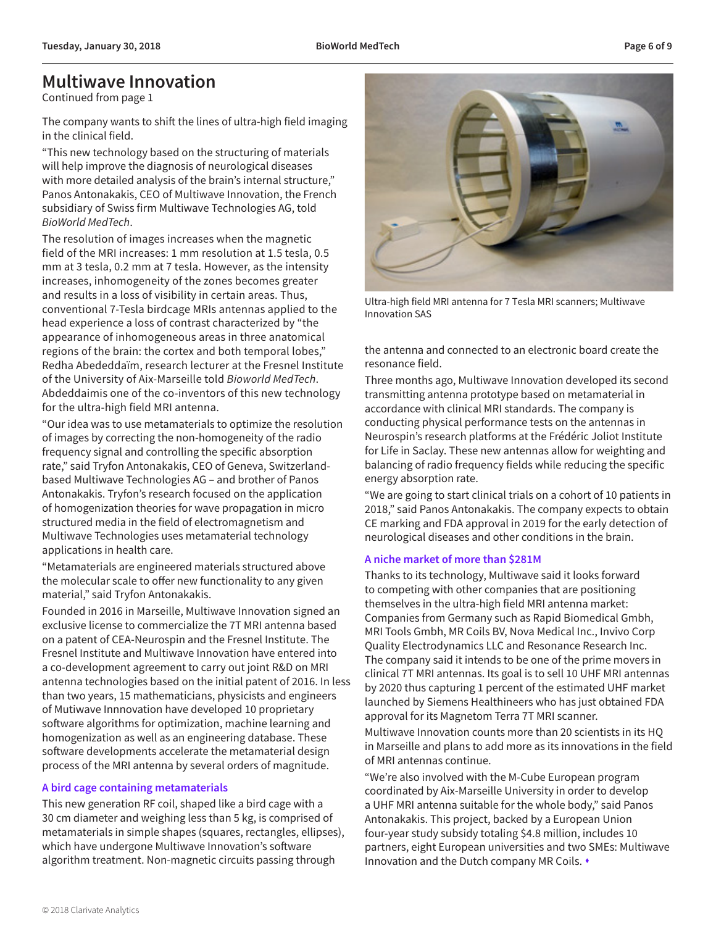### <span id="page-5-0"></span>**Multiwave Innovation**

[Continued from page 1](#page-0-0)

The company wants to shift the lines of ultra-high field imaging in the clinical field.

"This new technology based on the structuring of materials will help improve the diagnosis of neurological diseases with more detailed analysis of the brain's internal structure," Panos Antonakakis, CEO of Multiwave Innovation, the French subsidiary of Swiss firm Multiwave Technologies AG, told *BioWorld MedTech*.

The resolution of images increases when the magnetic field of the MRI increases: 1 mm resolution at 1.5 tesla, 0.5 mm at 3 tesla, 0.2 mm at 7 tesla. However, as the intensity increases, inhomogeneity of the zones becomes greater and results in a loss of visibility in certain areas. Thus, conventional 7-Tesla birdcage MRIs antennas applied to the head experience a loss of contrast characterized by "the appearance of inhomogeneous areas in three anatomical regions of the brain: the cortex and both temporal lobes," Redha Abededdaïm, research lecturer at the Fresnel Institute of the University of Aix-Marseille told *Bioworld MedTech*. Abdeddaimis one of the co-inventors of this new technology for the ultra-high field MRI antenna.

"Our idea was to use metamaterials to optimize the resolution of images by correcting the non-homogeneity of the radio frequency signal and controlling the specific absorption rate," said Tryfon Antonakakis, CEO of Geneva, Switzerlandbased Multiwave Technologies AG – and brother of Panos Antonakakis. Tryfon's research focused on the application of homogenization theories for wave propagation in micro structured media in the field of electromagnetism and Multiwave Technologies uses metamaterial technology applications in health care.

"Metamaterials are engineered materials structured above the molecular scale to offer new functionality to any given material," said Tryfon Antonakakis.

Founded in 2016 in Marseille, Multiwave Innovation signed an exclusive license to commercialize the 7T MRI antenna based on a patent of CEA-Neurospin and the Fresnel Institute. The Fresnel Institute and Multiwave Innovation have entered into a co-development agreement to carry out joint R&D on MRI antenna technologies based on the initial patent of 2016. In less than two years, 15 mathematicians, physicists and engineers of Mutiwave Innnovation have developed 10 proprietary software algorithms for optimization, machine learning and homogenization as well as an engineering database. These software developments accelerate the metamaterial design process of the MRI antenna by several orders of magnitude.

### **A bird cage containing metamaterials**

This new generation RF coil, shaped like a bird cage with a 30 cm diameter and weighing less than 5 kg, is comprised of metamaterials in simple shapes (squares, rectangles, ellipses), which have undergone Multiwave Innovation's software algorithm treatment. Non-magnetic circuits passing through



Ultra-high field MRI antenna for 7 Tesla MRI scanners; Multiwave Innovation SAS

the antenna and connected to an electronic board create the resonance field.

Three months ago, Multiwave Innovation developed its second transmitting antenna prototype based on metamaterial in accordance with clinical MRI standards. The company is conducting physical performance tests on the antennas in Neurospin's research platforms at the Frédéric Joliot Institute for Life in Saclay. These new antennas allow for weighting and balancing of radio frequency fields while reducing the specific energy absorption rate.

"We are going to start clinical trials on a cohort of 10 patients in 2018," said Panos Antonakakis. The company expects to obtain CE marking and FDA approval in 2019 for the early detection of neurological diseases and other conditions in the brain.

### **A niche market of more than \$281M**

Thanks to its technology, Multiwave said it looks forward to competing with other companies that are positioning themselves in the ultra-high field MRI antenna market: Companies from Germany such as Rapid Biomedical Gmbh, MRI Tools Gmbh, MR Coils BV, Nova Medical Inc., Invivo Corp Quality Electrodynamics LLC and Resonance Research Inc. The company said it intends to be one of the prime movers in clinical 7T MRI antennas. Its goal is to sell 10 UHF MRI antennas by 2020 thus capturing 1 percent of the estimated UHF market launched by Siemens Healthineers who has just obtained FDA approval for its Magnetom Terra 7T MRI scanner.

Multiwave Innovation counts more than 20 scientists in its HQ in Marseille and plans to add more as its innovations in the field of MRI antennas continue.

"We're also involved with the M-Cube European program coordinated by Aix-Marseille University in order to develop a UHF MRI antenna suitable for the whole body," said Panos Antonakakis. This project, backed by a European Union four-year study subsidy totaling \$4.8 million, includes 10 partners, eight European universities and two SMEs: Multiwave Innovation and the Dutch company MR Coils. •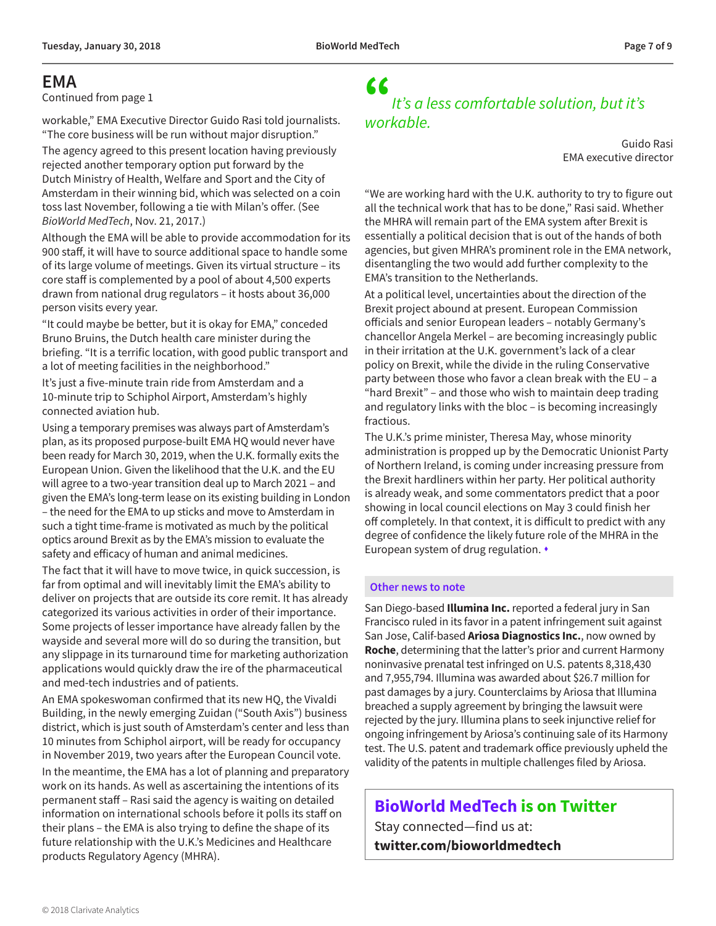### <span id="page-6-0"></span>**EMA**

[Continued from page 1](#page-0-0)

workable," EMA Executive Director Guido Rasi told journalists. "The core business will be run without major disruption."

The agency agreed to this present location having previously rejected another temporary option put forward by the Dutch Ministry of Health, Welfare and Sport and the City of Amsterdam in their winning bid, which was selected on a coin toss last November, following a tie with Milan's offer. (See *BioWorld MedTech*, Nov. 21, 2017.)

Although the EMA will be able to provide accommodation for its 900 staff, it will have to source additional space to handle some of its large volume of meetings. Given its virtual structure – its core staff is complemented by a pool of about 4,500 experts drawn from national drug regulators – it hosts about 36,000 person visits every year.

"It could maybe be better, but it is okay for EMA," conceded Bruno Bruins, the Dutch health care minister during the briefing. "It is a terrific location, with good public transport and a lot of meeting facilities in the neighborhood."

It's just a five-minute train ride from Amsterdam and a 10-minute trip to Schiphol Airport, Amsterdam's highly connected aviation hub.

Using a temporary premises was always part of Amsterdam's plan, as its proposed purpose-built EMA HQ would never have been ready for March 30, 2019, when the U.K. formally exits the European Union. Given the likelihood that the U.K. and the EU will agree to a two-year transition deal up to March 2021 – and given the EMA's long-term lease on its existing building in London – the need for the EMA to up sticks and move to Amsterdam in such a tight time-frame is motivated as much by the political optics around Brexit as by the EMA's mission to evaluate the safety and efficacy of human and animal medicines.

The fact that it will have to move twice, in quick succession, is far from optimal and will inevitably limit the EMA's ability to deliver on projects that are outside its core remit. It has already categorized its various activities in order of their importance. Some projects of lesser importance have already fallen by the wayside and several more will do so during the transition, but any slippage in its turnaround time for marketing authorization applications would quickly draw the ire of the pharmaceutical and med-tech industries and of patients.

An EMA spokeswoman confirmed that its new HQ, the Vivaldi Building, in the newly emerging Zuidan ("South Axis") business district, which is just south of Amsterdam's center and less than 10 minutes from Schiphol airport, will be ready for occupancy in November 2019, two years after the European Council vote.

In the meantime, the EMA has a lot of planning and preparatory work on its hands. As well as ascertaining the intentions of its permanent staff – Rasi said the agency is waiting on detailed information on international schools before it polls its staff on their plans – the EMA is also trying to define the shape of its future relationship with the U.K.'s Medicines and Healthcare products Regulatory Agency (MHRA).

### " *It's a less comfortable solution, but it's workable.*

Guido Rasi EMA executive director

"We are working hard with the U.K. authority to try to figure out all the technical work that has to be done," Rasi said. Whether the MHRA will remain part of the EMA system after Brexit is essentially a political decision that is out of the hands of both agencies, but given MHRA's prominent role in the EMA network, disentangling the two would add further complexity to the EMA's transition to the Netherlands.

At a political level, uncertainties about the direction of the Brexit project abound at present. European Commission officials and senior European leaders – notably Germany's chancellor Angela Merkel – are becoming increasingly public in their irritation at the U.K. government's lack of a clear policy on Brexit, while the divide in the ruling Conservative party between those who favor a clean break with the EU – a "hard Brexit" – and those who wish to maintain deep trading and regulatory links with the bloc – is becoming increasingly fractious.

The U.K.'s prime minister, Theresa May, whose minority administration is propped up by the Democratic Unionist Party of Northern Ireland, is coming under increasing pressure from the Brexit hardliners within her party. Her political authority is already weak, and some commentators predict that a poor showing in local council elections on May 3 could finish her off completely. In that context, it is difficult to predict with any degree of confidence the likely future role of the MHRA in the European system of drug regulation.  $\cdot$ 

#### **Other news to note**

San Diego-based **Illumina Inc.** reported a federal jury in San Francisco ruled in its favor in a patent infringement suit against San Jose, Calif-based **Ariosa Diagnostics Inc.**, now owned by **Roche**, determining that the latter's prior and current Harmony noninvasive prenatal test infringed on U.S. patents 8,318,430 and 7,955,794. Illumina was awarded about \$26.7 million for past damages by a jury. Counterclaims by Ariosa that Illumina breached a supply agreement by bringing the lawsuit were rejected by the jury. Illumina plans to seek injunctive relief for ongoing infringement by Ariosa's continuing sale of its Harmony test. The U.S. patent and trademark office previously upheld the validity of the patents in multiple challenges filed by Ariosa.

**BioWorld MedTech is on Twitter**

Stay connected—find us at: **[twitter.com/bioworldmedtech](http://twitter.com/bioworldmedtech)**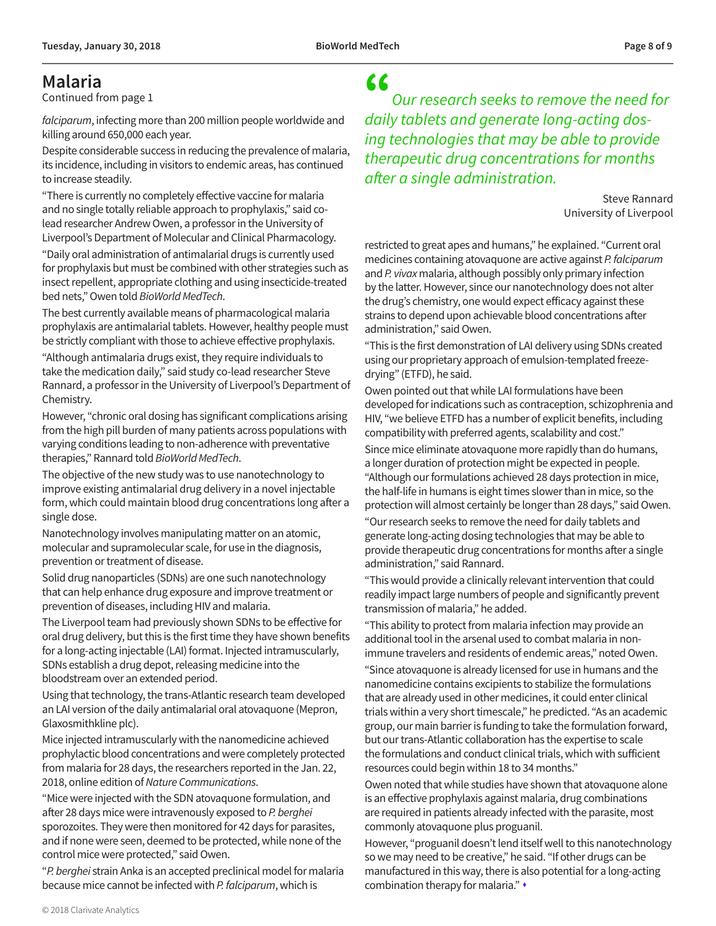### <span id="page-7-0"></span>**Malaria**

[Continued from page 1](#page-0-0)

*falciparum*, infecting more than 200 million people worldwide and killing around 650,000 each year.

Despite considerable success in reducing the prevalence of malaria, its incidence, including in visitors to endemic areas, has continued to increase steadily.

"There is currently no completely effective vaccine for malaria and no single totally reliable approach to prophylaxis," said colead researcher Andrew Owen, a professor in the University of Liverpool's Department of Molecular and Clinical Pharmacology.

"Daily oral administration of antimalarial drugs is currently used for prophylaxis but must be combined with other strategies such as insect repellent, appropriate clothing and using insecticide-treated bed nets," Owen told *BioWorld MedTech*.

The best currently available means of pharmacological malaria prophylaxis are antimalarial tablets. However, healthy people must be strictly compliant with those to achieve effective prophylaxis.

"Although antimalaria drugs exist, they require individuals to take the medication daily," said study co-lead researcher Steve Rannard, a professor in the University of Liverpool's Department of Chemistry.

However, "chronic oral dosing has significant complications arising from the high pill burden of many patients across populations with varying conditions leading to non-adherence with preventative therapies," Rannard told *BioWorld MedTech*.

The objective of the new study was to use nanotechnology to improve existing antimalarial drug delivery in a novel injectable form, which could maintain blood drug concentrations long after a single dose.

Nanotechnology involves manipulating matter on an atomic, molecular and supramolecular scale, for use in the diagnosis, prevention or treatment of disease.

Solid drug nanoparticles (SDNs) are one such nanotechnology that can help enhance drug exposure and improve treatment or prevention of diseases, including HIV and malaria.

The Liverpool team had previously shown SDNs to be effective for oral drug delivery, but this is the first time they have shown benefits for a long-acting injectable (LAI) format. Injected intramuscularly, SDNs establish a drug depot, releasing medicine into the bloodstream over an extended period.

Using that technology, the trans-Atlantic research team developed an LAI version of the daily antimalarial oral atovaquone (Mepron, Glaxosmithkline plc).

Mice injected intramuscularly with the nanomedicine achieved prophylactic blood concentrations and were completely protected from malaria for 28 days, the researchers reported in the Jan. 22, 2018, online edition of *Nature Communications*.

"Mice were injected with the SDN atovaquone formulation, and after 28 days mice were intravenously exposed to *P. berghei*  sporozoites. They were then monitored for 42 days for parasites, and if none were seen, deemed to be protected, while none of the control mice were protected," said Owen.

"*P. berghei* strain Anka is an accepted preclinical model for malaria because mice cannot be infected with *P. falciparum*, which is

" *Our research seeks to remove the need for daily tablets and generate long-acting dosing technologies that may be able to provide therapeutic drug concentrations for months after a single administration.*

> Steve Rannard University of Liverpool

restricted to great apes and humans," he explained. "Current oral medicines containing atovaquone are active against *P. falciparum* and *P. vivax* malaria, although possibly only primary infection by the latter. However, since our nanotechnology does not alter the drug's chemistry, one would expect efficacy against these strains to depend upon achievable blood concentrations after administration," said Owen.

"This is the first demonstration of LAI delivery using SDNs created using our proprietary approach of emulsion-templated freezedrying" (ETFD), he said.

Owen pointed out that while LAI formulations have been developed for indications such as contraception, schizophrenia and HIV, "we believe ETFD has a number of explicit benefits, including compatibility with preferred agents, scalability and cost."

Since mice eliminate atovaquone more rapidly than do humans, a longer duration of protection might be expected in people. "Although our formulations achieved 28 days protection in mice, the half-life in humans is eight times slower than in mice, so the protection will almost certainly be longer than 28 days," said Owen.

"Our research seeks to remove the need for daily tablets and generate long-acting dosing technologies that may be able to provide therapeutic drug concentrations for months after a single administration," said Rannard.

"This would provide a clinically relevant intervention that could readily impact large numbers of people and significantly prevent transmission of malaria," he added.

"This ability to protect from malaria infection may provide an additional tool in the arsenal used to combat malaria in nonimmune travelers and residents of endemic areas," noted Owen.

"Since atovaquone is already licensed for use in humans and the nanomedicine contains excipients to stabilize the formulations that are already used in other medicines, it could enter clinical trials within a very short timescale," he predicted. "As an academic group, our main barrier is funding to take the formulation forward, but our trans-Atlantic collaboration has the expertise to scale the formulations and conduct clinical trials, which with sufficient resources could begin within 18 to 34 months."

Owen noted that while studies have shown that atovaquone alone is an effective prophylaxis against malaria, drug combinations are required in patients already infected with the parasite, most commonly atovaquone plus proguanil.

However, "proguanil doesn't lend itself well to this nanotechnology so we may need to be creative," he said. "If other drugs can be manufactured in this way, there is also potential for a long-acting combination therapy for malaria." $\cdot$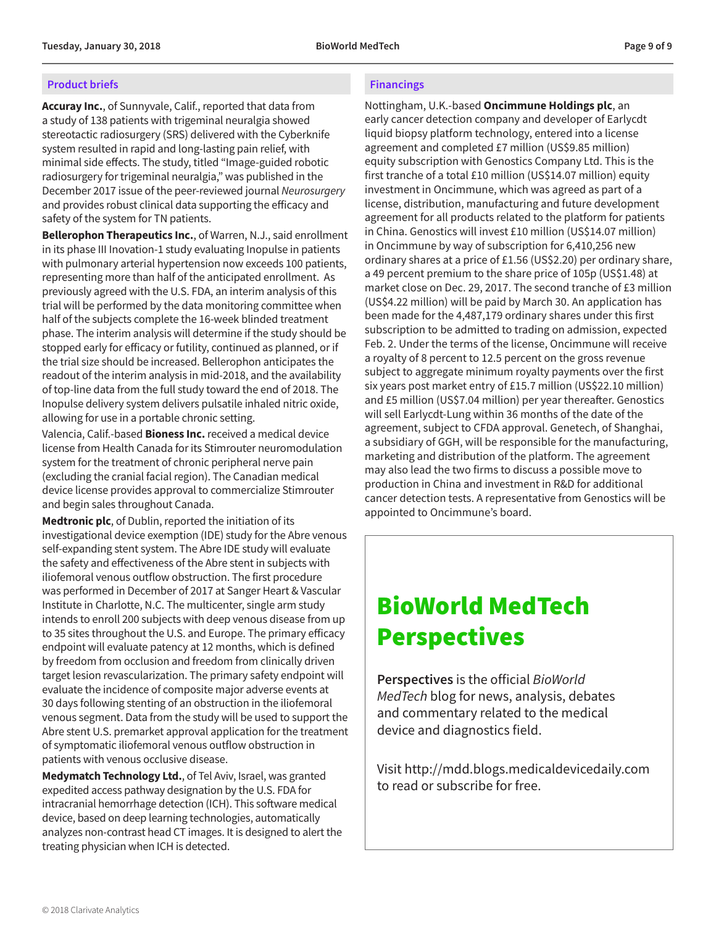#### <span id="page-8-0"></span>**Product briefs**

**Accuray Inc.**, of Sunnyvale, Calif., reported that data from a study of 138 patients with trigeminal neuralgia showed stereotactic radiosurgery (SRS) delivered with the Cyberknife system resulted in rapid and long-lasting pain relief, with minimal side effects. The study, titled "Image-guided robotic radiosurgery for trigeminal neuralgia," was published in the December 2017 issue of the peer-reviewed journal *Neurosurgery* and provides robust clinical data supporting the efficacy and safety of the system for TN patients.

**Bellerophon Therapeutics Inc.**, of Warren, N.J., said enrollment in its phase III Inovation-1 study evaluating Inopulse in patients with pulmonary arterial hypertension now exceeds 100 patients, representing more than half of the anticipated enrollment. As previously agreed with the U.S. FDA, an interim analysis of this trial will be performed by the data monitoring committee when half of the subjects complete the 16-week blinded treatment phase. The interim analysis will determine if the study should be stopped early for efficacy or futility, continued as planned, or if the trial size should be increased. Bellerophon anticipates the readout of the interim analysis in mid-2018, and the availability of top-line data from the full study toward the end of 2018. The Inopulse delivery system delivers pulsatile inhaled nitric oxide, allowing for use in a portable chronic setting.

Valencia, Calif.-based **Bioness Inc.** received a medical device license from Health Canada for its Stimrouter neuromodulation system for the treatment of chronic peripheral nerve pain (excluding the cranial facial region). The Canadian medical device license provides approval to commercialize Stimrouter and begin sales throughout Canada.

**Medtronic plc**, of Dublin, reported the initiation of its investigational device exemption (IDE) study for the Abre venous self-expanding stent system. The Abre IDE study will evaluate the safety and effectiveness of the Abre stent in subjects with iliofemoral venous outflow obstruction. The first procedure was performed in December of 2017 at Sanger Heart & Vascular Institute in Charlotte, N.C. The multicenter, single arm study intends to enroll 200 subjects with deep venous disease from up to 35 sites throughout the U.S. and Europe. The primary efficacy endpoint will evaluate patency at 12 months, which is defined by freedom from occlusion and freedom from clinically driven target lesion revascularization. The primary safety endpoint will evaluate the incidence of composite major adverse events at 30 days following stenting of an obstruction in the iliofemoral venous segment. Data from the study will be used to support the Abre stent U.S. premarket approval application for the treatment of symptomatic iliofemoral venous outflow obstruction in patients with venous occlusive disease.

**Medymatch Technology Ltd.**, of Tel Aviv, Israel, was granted expedited access pathway designation by the U.S. FDA for intracranial hemorrhage detection (ICH). This software medical device, based on deep learning technologies, automatically analyzes non-contrast head CT images. It is designed to alert the treating physician when ICH is detected.

### **Financings**

Nottingham, U.K.-based **Oncimmune Holdings plc**, an early cancer detection company and developer of Earlycdt liquid biopsy platform technology, entered into a license agreement and completed £7 million (US\$9.85 million) equity subscription with Genostics Company Ltd. This is the first tranche of a total £10 million (US\$14.07 million) equity investment in Oncimmune, which was agreed as part of a license, distribution, manufacturing and future development agreement for all products related to the platform for patients in China. Genostics will invest £10 million (US\$14.07 million) in Oncimmune by way of subscription for 6,410,256 new ordinary shares at a price of £1.56 (US\$2.20) per ordinary share, a 49 percent premium to the share price of 105p (US\$1.48) at market close on Dec. 29, 2017. The second tranche of £3 million (US\$4.22 million) will be paid by March 30. An application has been made for the 4,487,179 ordinary shares under this first subscription to be admitted to trading on admission, expected Feb. 2. Under the terms of the license, Oncimmune will receive a royalty of 8 percent to 12.5 percent on the gross revenue subject to aggregate minimum royalty payments over the first six years post market entry of £15.7 million (US\$22.10 million) and £5 million (US\$7.04 million) per year thereafter. Genostics will sell Earlycdt-Lung within 36 months of the date of the agreement, subject to CFDA approval. Genetech, of Shanghai, a subsidiary of GGH, will be responsible for the manufacturing, marketing and distribution of the platform. The agreement may also lead the two firms to discuss a possible move to production in China and investment in R&D for additional cancer detection tests. A representative from Genostics will be appointed to Oncimmune's board.

### BioWorld MedTech **Perspectives**

**Perspectives** is the official *BioWorld MedTech* blog for news, analysis, debates and commentary related to the medical device and diagnostics field.

Visit<http://mdd.blogs.medicaldevicedaily.com> to read or subscribe for free.